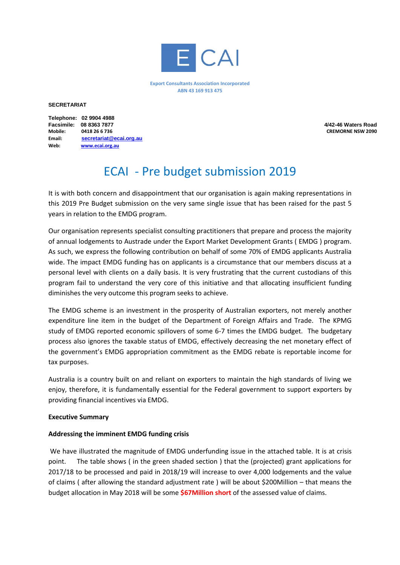

**Export Consultants Association Incorporated ABN 43 169 913 475**

#### **SECRETARIAT**

|         | Telephone: 02 9904 4988 |
|---------|-------------------------|
|         | Facsimile: 08 8363 7877 |
| Mobile: | 0418 26 6 736           |
| Email:  | secretariat@ecai.org.au |
| Web:    | www.ecai.org.au         |

**Facsimile: 08 8363 7877 4/42-46 Waters Road CREMORNE NSW 2090** 

# ECAI - Pre budget submission 2019

It is with both concern and disappointment that our organisation is again making representations in this 2019 Pre Budget submission on the very same single issue that has been raised for the past 5 years in relation to the EMDG program.

Our organisation represents specialist consulting practitioners that prepare and process the majority of annual lodgements to Austrade under the Export Market Development Grants ( EMDG ) program. As such, we express the following contribution on behalf of some 70% of EMDG applicants Australia wide. The impact EMDG funding has on applicants is a circumstance that our members discuss at a personal level with clients on a daily basis. It is very frustrating that the current custodians of this program fail to understand the very core of this initiative and that allocating insufficient funding diminishes the very outcome this program seeks to achieve.

The EMDG scheme is an investment in the prosperity of Australian exporters, not merely another expenditure line item in the budget of the Department of Foreign Affairs and Trade. The KPMG study of EMDG reported economic spillovers of some 6-7 times the EMDG budget. The budgetary process also ignores the taxable status of EMDG, effectively decreasing the net monetary effect of the government's EMDG appropriation commitment as the EMDG rebate is reportable income for tax purposes.

Australia is a country built on and reliant on exporters to maintain the high standards of living we enjoy, therefore, it is fundamentally essential for the Federal government to support exporters by providing financial incentives via EMDG.

#### **Executive Summary**

#### **Addressing the imminent EMDG funding crisis**

We have illustrated the magnitude of EMDG underfunding issue in the attached table. It is at crisis point. The table shows ( in the green shaded section ) that the (projected) grant applications for 2017/18 to be processed and paid in 2018/19 will increase to over 4,000 lodgements and the value of claims ( after allowing the standard adjustment rate ) will be about \$200Million – that means the budget allocation in May 2018 will be some **\$67Million short** of the assessed value of claims.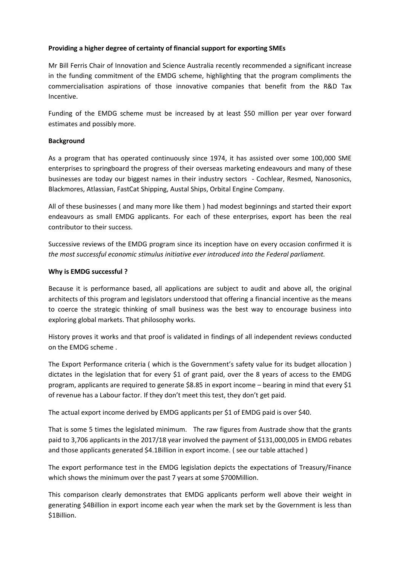# **Providing a higher degree of certainty of financial support for exporting SMEs**

Mr Bill Ferris Chair of Innovation and Science Australia recently recommended a significant increase in the funding commitment of the EMDG scheme, highlighting that the program compliments the commercialisation aspirations of those innovative companies that benefit from the R&D Tax Incentive.

Funding of the EMDG scheme must be increased by at least \$50 million per year over forward estimates and possibly more.

### **Background**

As a program that has operated continuously since 1974, it has assisted over some 100,000 SME enterprises to springboard the progress of their overseas marketing endeavours and many of these businesses are today our biggest names in their industry sectors - Cochlear, Resmed, Nanosonics, Blackmores, Atlassian, FastCat Shipping, Austal Ships, Orbital Engine Company.

All of these businesses ( and many more like them ) had modest beginnings and started their export endeavours as small EMDG applicants. For each of these enterprises, export has been the real contributor to their success.

Successive reviews of the EMDG program since its inception have on every occasion confirmed it is *the most successful economic stimulus initiative ever introduced into the Federal parliament.*

# **Why is EMDG successful ?**

Because it is performance based, all applications are subject to audit and above all, the original architects of this program and legislators understood that offering a financial incentive as the means to coerce the strategic thinking of small business was the best way to encourage business into exploring global markets. That philosophy works.

History proves it works and that proof is validated in findings of all independent reviews conducted on the EMDG scheme .

The Export Performance criteria ( which is the Government's safety value for its budget allocation ) dictates in the legislation that for every \$1 of grant paid, over the 8 years of access to the EMDG program, applicants are required to generate \$8.85 in export income – bearing in mind that every \$1 of revenue has a Labour factor. If they don't meet this test, they don't get paid.

The actual export income derived by EMDG applicants per \$1 of EMDG paid is over \$40.

That is some 5 times the legislated minimum. The raw figures from Austrade show that the grants paid to 3,706 applicants in the 2017/18 year involved the payment of \$131,000,005 in EMDG rebates and those applicants generated \$4.1Billion in export income. ( see our table attached )

The export performance test in the EMDG legislation depicts the expectations of Treasury/Finance which shows the minimum over the past 7 years at some \$700Million.

This comparison clearly demonstrates that EMDG applicants perform well above their weight in generating \$4Billion in export income each year when the mark set by the Government is less than \$1Billion.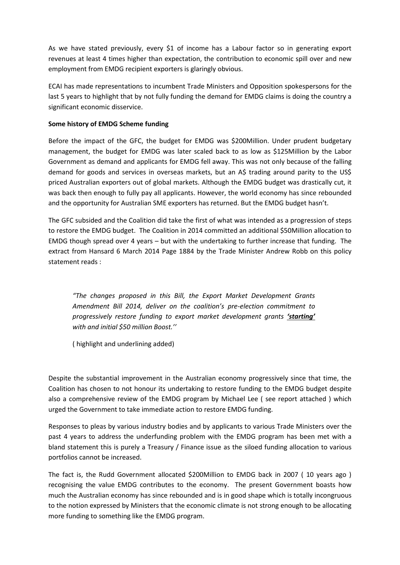As we have stated previously, every \$1 of income has a Labour factor so in generating export revenues at least 4 times higher than expectation, the contribution to economic spill over and new employment from EMDG recipient exporters is glaringly obvious.

ECAI has made representations to incumbent Trade Ministers and Opposition spokespersons for the last 5 years to highlight that by not fully funding the demand for EMDG claims is doing the country a significant economic disservice.

# **Some history of EMDG Scheme funding**

Before the impact of the GFC, the budget for EMDG was \$200Million. Under prudent budgetary management, the budget for EMDG was later scaled back to as low as \$125Million by the Labor Government as demand and applicants for EMDG fell away. This was not only because of the falling demand for goods and services in overseas markets, but an A\$ trading around parity to the US\$ priced Australian exporters out of global markets. Although the EMDG budget was drastically cut, it was back then enough to fully pay all applicants. However, the world economy has since rebounded and the opportunity for Australian SME exporters has returned. But the EMDG budget hasn't.

The GFC subsided and the Coalition did take the first of what was intended as a progression of steps to restore the EMDG budget. The Coalition in 2014 committed an additional \$50Million allocation to EMDG though spread over 4 years – but with the undertaking to further increase that funding. The extract from Hansard 6 March 2014 Page 1884 by the Trade Minister Andrew Robb on this policy statement reads :

*"The changes proposed in this Bill, the Export Market Development Grants Amendment Bill 2014, deliver on the coalition's pre-election commitment to progressively restore funding to export market development grants 'starting' with and initial \$50 million Boost.''*

( highlight and underlining added)

Despite the substantial improvement in the Australian economy progressively since that time, the Coalition has chosen to not honour its undertaking to restore funding to the EMDG budget despite also a comprehensive review of the EMDG program by Michael Lee ( see report attached ) which urged the Government to take immediate action to restore EMDG funding.

Responses to pleas by various industry bodies and by applicants to various Trade Ministers over the past 4 years to address the underfunding problem with the EMDG program has been met with a bland statement this is purely a Treasury / Finance issue as the siloed funding allocation to various portfolios cannot be increased.

The fact is, the Rudd Government allocated \$200Million to EMDG back in 2007 ( 10 years ago ) recognising the value EMDG contributes to the economy. The present Government boasts how much the Australian economy has since rebounded and is in good shape which is totally incongruous to the notion expressed by Ministers that the economic climate is not strong enough to be allocating more funding to something like the EMDG program.